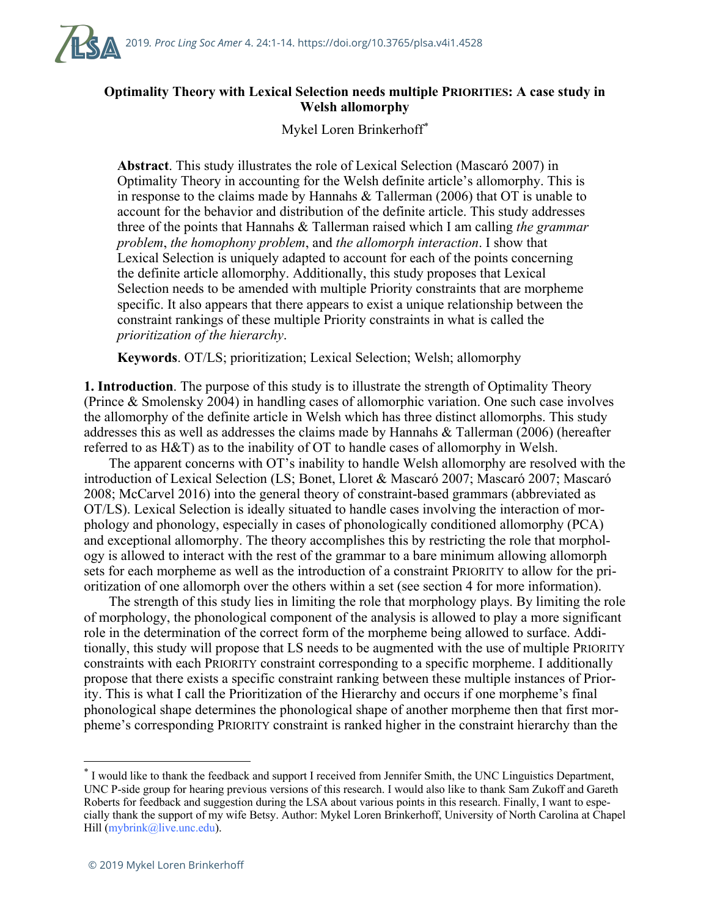

## **Optimality Theory with Lexical Selection needs multiple PRIORITIES: A case study in Welsh allomorphy**

Mykel Loren Brinkerhoff*\**

**Abstract**. This study illustrates the role of Lexical Selection (Mascaró 2007) in Optimality Theory in accounting for the Welsh definite article's allomorphy. This is in response to the claims made by Hannahs & Tallerman (2006) that OT is unable to account for the behavior and distribution of the definite article. This study addresses three of the points that Hannahs & Tallerman raised which I am calling *the grammar problem*, *the homophony problem*, and *the allomorph interaction*. I show that Lexical Selection is uniquely adapted to account for each of the points concerning the definite article allomorphy. Additionally, this study proposes that Lexical Selection needs to be amended with multiple Priority constraints that are morpheme specific. It also appears that there appears to exist a unique relationship between the constraint rankings of these multiple Priority constraints in what is called the *prioritization of the hierarchy*.

**Keywords**. OT/LS; prioritization; Lexical Selection; Welsh; allomorphy

**1. Introduction**. The purpose of this study is to illustrate the strength of Optimality Theory (Prince & Smolensky 2004) in handling cases of allomorphic variation. One such case involves the allomorphy of the definite article in Welsh which has three distinct allomorphs. This study addresses this as well as addresses the claims made by Hannahs & Tallerman (2006) (hereafter referred to as H&T) as to the inability of OT to handle cases of allomorphy in Welsh.

The apparent concerns with OT's inability to handle Welsh allomorphy are resolved with the introduction of Lexical Selection (LS; Bonet, Lloret & Mascaró 2007; Mascaró 2007; Mascaró 2008; McCarvel 2016) into the general theory of constraint-based grammars (abbreviated as OT/LS). Lexical Selection is ideally situated to handle cases involving the interaction of morphology and phonology, especially in cases of phonologically conditioned allomorphy (PCA) and exceptional allomorphy. The theory accomplishes this by restricting the role that morphology is allowed to interact with the rest of the grammar to a bare minimum allowing allomorph sets for each morpheme as well as the introduction of a constraint PRIORITY to allow for the prioritization of one allomorph over the others within a set (see section 4 for more information).

The strength of this study lies in limiting the role that morphology plays. By limiting the role of morphology, the phonological component of the analysis is allowed to play a more significant role in the determination of the correct form of the morpheme being allowed to surface. Additionally, this study will propose that LS needs to be augmented with the use of multiple PRIORITY constraints with each PRIORITY constraint corresponding to a specific morpheme. I additionally propose that there exists a specific constraint ranking between these multiple instances of Priority. This is what I call the Prioritization of the Hierarchy and occurs if one morpheme's final phonological shape determines the phonological shape of another morpheme then that first morpheme's corresponding PRIORITY constraint is ranked higher in the constraint hierarchy than the

<sup>\*</sup> I would like to thank the feedback and support I received from Jennifer Smith, the UNC Linguistics Department, UNC P-side group for hearing previous versions of this research. I would also like to thank Sam Zukoff and Gareth Roberts for feedback and suggestion during the LSA about various points in this research. Finally, I want to especially thank the support of my wife Betsy. Author: Mykel Loren Brinkerhoff, University of North Carolina at Chapel Hill (mybrink@live.unc.edu).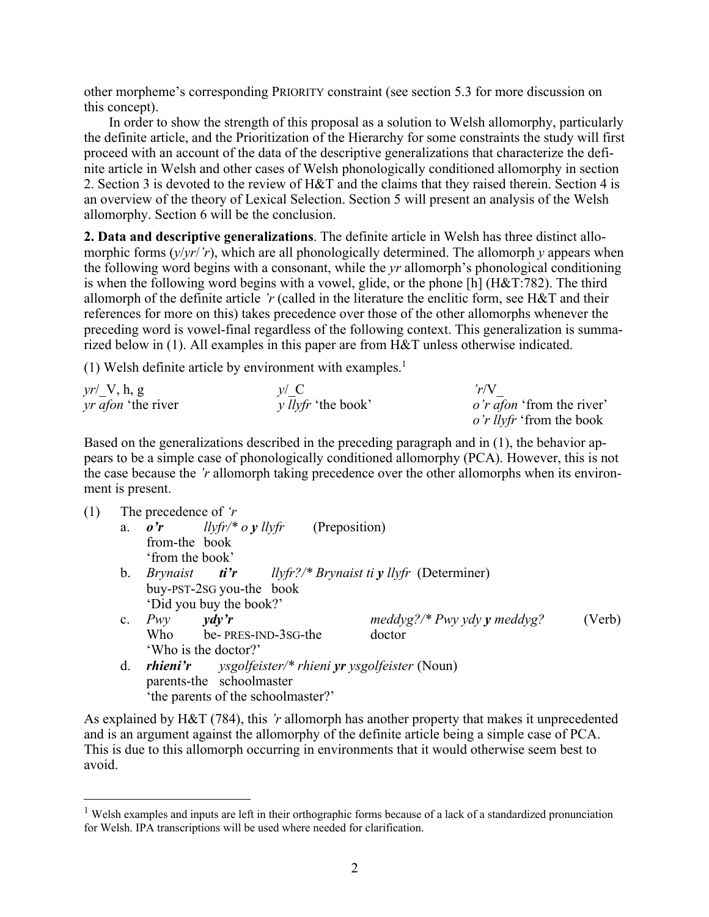other morpheme's corresponding PRIORITY constraint (see section 5.3 for more discussion on this concept).

In order to show the strength of this proposal as a solution to Welsh allomorphy, particularly the definite article, and the Prioritization of the Hierarchy for some constraints the study will first proceed with an account of the data of the descriptive generalizations that characterize the definite article in Welsh and other cases of Welsh phonologically conditioned allomorphy in section 2. Section 3 is devoted to the review of H&T and the claims that they raised therein. Section 4 is an overview of the theory of Lexical Selection. Section 5 will present an analysis of the Welsh allomorphy. Section 6 will be the conclusion.

**2. Data and descriptive generalizations**. The definite article in Welsh has three distinct allomorphic forms (*y*/*yr*/*'r*), which are all phonologically determined. The allomorph *y* appears when the following word begins with a consonant, while the *yr* allomorph's phonological conditioning is when the following word begins with a vowel, glide, or the phone [h] (H&T:782). The third allomorph of the definite article *'r* (called in the literature the enclitic form, see H&T and their references for more on this) takes precedence over those of the other allomorphs whenever the preceding word is vowel-final regardless of the following context. This generalization is summarized below in (1). All examples in this paper are from H&T unless otherwise indicated.

(1) Welsh definite article by environment with examples.<sup>1</sup>

| $yr'$ V, h, g             | $\nu / C$                 | r/V                              |
|---------------------------|---------------------------|----------------------------------|
| <i>yr afon</i> 'the river | <i>y llyfr</i> 'the book' | <i>o'r afon</i> 'from the river' |
|                           |                           | <i>o'r llyfr</i> 'from the book  |

Based on the generalizations described in the preceding paragraph and in (1), the behavior appears to be a simple case of phonologically conditioned allomorphy (PCA). However, this is not the case because the *'r* allomorph taking precedence over the other allomorphs when its environment is present.

| (1) |                | The precedence of $r$ |                          |                                                                                                                                                                         |                                                                                     |        |
|-----|----------------|-----------------------|--------------------------|-------------------------------------------------------------------------------------------------------------------------------------------------------------------------|-------------------------------------------------------------------------------------|--------|
|     | a.             |                       |                          | $\boldsymbol{v'}$ $\boldsymbol{v}$ $\boldsymbol{v}$ $\boldsymbol{v}$ $\boldsymbol{v}$ $\boldsymbol{v}$ $\boldsymbol{v}$ $\boldsymbol{v}$ $\boldsymbol{v}$ (Preposition) |                                                                                     |        |
|     |                | from-the book         |                          |                                                                                                                                                                         |                                                                                     |        |
|     |                | 'from the book'       |                          |                                                                                                                                                                         |                                                                                     |        |
|     | $\mathbf{b}$ . |                       |                          |                                                                                                                                                                         | <i>Brynaist</i> <b><i>ti'r</i></b> <i>llyfr?/* Brynaist ti y llyfr</i> (Determiner) |        |
|     |                |                       | buy-PST-2SG you-the book |                                                                                                                                                                         |                                                                                     |        |
|     |                |                       | 'Did you buy the book?'  |                                                                                                                                                                         |                                                                                     |        |
|     | $c_{\cdot}$    | Pwv                   | $\gamma d\gamma' r$      |                                                                                                                                                                         | $meddyg$ ?/* Pwy ydy y meddyg?                                                      | (Verb) |
|     |                |                       |                          | Who be-PRES-IND-3SG-the                                                                                                                                                 | doctor                                                                              |        |
|     |                |                       | 'Who is the doctor?'     |                                                                                                                                                                         |                                                                                     |        |
|     | d.             | rhieni'r              |                          |                                                                                                                                                                         | <i>ysgolfeister/* rhieni yr ysgolfeister</i> (Noun)                                 |        |
|     |                |                       | parents-the schoolmaster |                                                                                                                                                                         |                                                                                     |        |
|     |                |                       |                          | 'the parents of the schoolmaster?'                                                                                                                                      |                                                                                     |        |
|     |                |                       |                          |                                                                                                                                                                         |                                                                                     |        |

As explained by H&T (784), this *'r* allomorph has another property that makes it unprecedented and is an argument against the allomorphy of the definite article being a simple case of PCA. This is due to this allomorph occurring in environments that it would otherwise seem best to avoid.

<sup>&</sup>lt;sup>1</sup> Welsh examples and inputs are left in their orthographic forms because of a lack of a standardized pronunciation for Welsh. IPA transcriptions will be used where needed for clarification.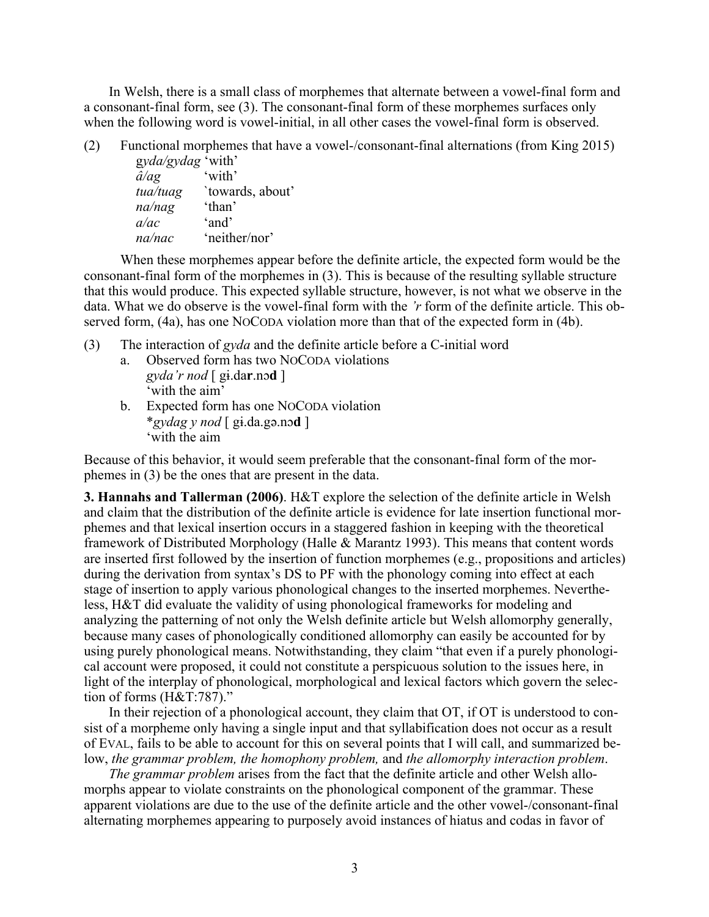In Welsh, there is a small class of morphemes that alternate between a vowel-final form and a consonant-final form, see (3). The consonant-final form of these morphemes surfaces only when the following word is vowel-initial, in all other cases the vowel-final form is observed.

(2) Functional morphemes that have a vowel-/consonant-final alternations (from King 2015) g*yda/gydag* 'with'

*â/ag* 'with' *tua/tuag* `towards, about' *na/nag* 'than' *a/ac* 'and' *na/nac* 'neither/nor'

When these morphemes appear before the definite article, the expected form would be the consonant-final form of the morphemes in (3). This is because of the resulting syllable structure that this would produce. This expected syllable structure, however, is not what we observe in the data. What we do observe is the vowel-final form with the *'r* form of the definite article. This observed form, (4a), has one NOCODA violation more than that of the expected form in (4b).

- (3) The interaction of *gyda* and the definite article before a C-initial word
	- a. Observed form has two NOCODA violations *gyda'r nod* [ gɨ.da**r**.nɔ**d** ] 'with the aim'
	- b. Expected form has one NOCODA violation \**gydag y nod* [ gɨ.da.gə.nɔ**d** ] 'with the aim

Because of this behavior, it would seem preferable that the consonant-final form of the morphemes in (3) be the ones that are present in the data.

**3. Hannahs and Tallerman (2006)**. H&T explore the selection of the definite article in Welsh and claim that the distribution of the definite article is evidence for late insertion functional morphemes and that lexical insertion occurs in a staggered fashion in keeping with the theoretical framework of Distributed Morphology (Halle & Marantz 1993). This means that content words are inserted first followed by the insertion of function morphemes (e.g., propositions and articles) during the derivation from syntax's DS to PF with the phonology coming into effect at each stage of insertion to apply various phonological changes to the inserted morphemes. Nevertheless, H&T did evaluate the validity of using phonological frameworks for modeling and analyzing the patterning of not only the Welsh definite article but Welsh allomorphy generally, because many cases of phonologically conditioned allomorphy can easily be accounted for by using purely phonological means. Notwithstanding, they claim "that even if a purely phonological account were proposed, it could not constitute a perspicuous solution to the issues here, in light of the interplay of phonological, morphological and lexical factors which govern the selection of forms (H&T:787)."

In their rejection of a phonological account, they claim that OT, if OT is understood to consist of a morpheme only having a single input and that syllabification does not occur as a result of EVAL, fails to be able to account for this on several points that I will call, and summarized below, *the grammar problem, the homophony problem,* and *the allomorphy interaction problem*.

*The grammar problem* arises from the fact that the definite article and other Welsh allomorphs appear to violate constraints on the phonological component of the grammar. These apparent violations are due to the use of the definite article and the other vowel-/consonant-final alternating morphemes appearing to purposely avoid instances of hiatus and codas in favor of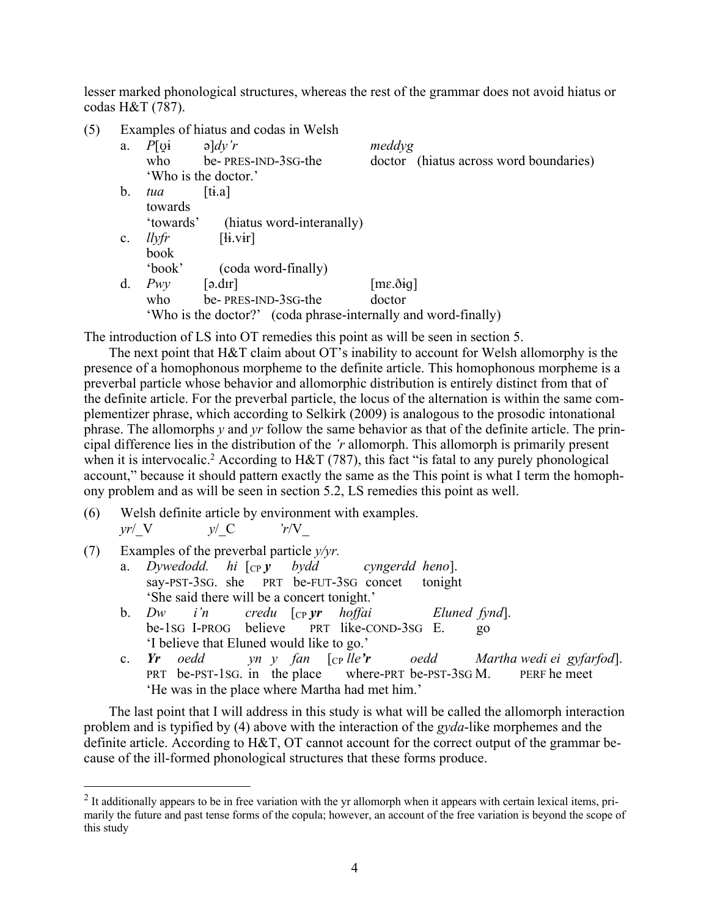lesser marked phonological structures, whereas the rest of the grammar does not avoid hiatus or codas H&T (787).

| (5) |                |                    | Examples of hiatus and codas in Welsh                          |                            |                                        |
|-----|----------------|--------------------|----------------------------------------------------------------|----------------------------|----------------------------------------|
|     | a.             | $P[\text{O}]\cdot$ | $\partial$ and $\partial$ is respectively.                     | meddyg                     |                                        |
|     |                |                    | who be-PRES-IND-3SG-the                                        |                            | doctor (hiatus across word boundaries) |
|     |                |                    | 'Who is the doctor.'                                           |                            |                                        |
|     | $\mathbf{b}$ . | tua                | [t <sub>i</sub> .a]                                            |                            |                                        |
|     |                | towards            |                                                                |                            |                                        |
|     |                | 'towards'          | (hiatus word-interanally)                                      |                            |                                        |
|     | $\mathbf{c}$ . | llyfr              | $[\mathbf{ii}.\mathbf{vir}]$                                   |                            |                                        |
|     |                | book               |                                                                |                            |                                        |
|     |                | 'book'             | (coda word-finally)                                            |                            |                                        |
|     | d.             | Pwv                | [ə.dır]                                                        | $[m\varepsilon.\delta iq]$ |                                        |
|     |                | who                | be-PRES-IND-3SG-the                                            | doctor                     |                                        |
|     |                |                    | 'Who is the doctor?' (coda phrase-internally and word-finally) |                            |                                        |
|     |                |                    |                                                                |                            |                                        |

The introduction of LS into OT remedies this point as will be seen in section 5.

The next point that H&T claim about OT's inability to account for Welsh allomorphy is the presence of a homophonous morpheme to the definite article. This homophonous morpheme is a preverbal particle whose behavior and allomorphic distribution is entirely distinct from that of the definite article. For the preverbal particle, the locus of the alternation is within the same complementizer phrase, which according to Selkirk (2009) is analogous to the prosodic intonational phrase. The allomorphs *y* and *yr* follow the same behavior as that of the definite article. The principal difference lies in the distribution of the *'r* allomorph. This allomorph is primarily present when it is intervocalic.<sup>2</sup> According to H&T (787), this fact "is fatal to any purely phonological account," because it should pattern exactly the same as the This point is what I term the homophony problem and as will be seen in section 5.2, LS remedies this point as well.

- (6) Welsh definite article by environment with examples. *yr*/\_V *y*/\_C *'r*/V\_
- (7) Examples of the preverbal particle *y/yr.*
	- a. *Dywedodd. hi* [CP *y bydd cyngerdd heno*]. say-PST-3SG. she PRT be-FUT-3SG concet tonight 'She said there will be a concert tonight.'
	- b. *Dw i'n credu* [CP *yr hoffai Eluned fynd*]. be-1SG I-PROG believe PRT like-COND-3SG E. go 'I believe that Eluned would like to go.'
	- c. *Yr oedd yn y fan* [CP *lle'r oedd Martha wedi ei gyfarfod*]. PRT be-PST-1SG. in the place where-PRT be-PST-3SG M. PERF he meet 'He was in the place where Martha had met him.'

The last point that I will address in this study is what will be called the allomorph interaction problem and is typified by (4) above with the interaction of the *gyda*-like morphemes and the definite article. According to  $H\&T$ , OT cannot account for the correct output of the grammar because of the ill-formed phonological structures that these forms produce.

 $<sup>2</sup>$  It additionally appears to be in free variation with the yr allomorph when it appears with certain lexical items, pri-</sup> marily the future and past tense forms of the copula; however, an account of the free variation is beyond the scope of this study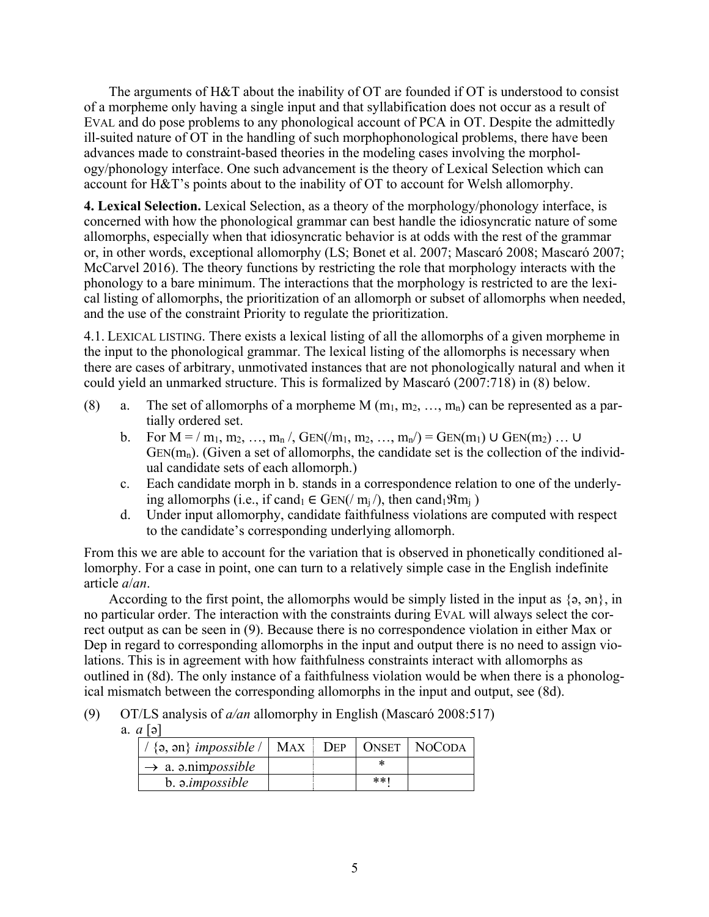The arguments of H&T about the inability of OT are founded if OT is understood to consist of a morpheme only having a single input and that syllabification does not occur as a result of EVAL and do pose problems to any phonological account of PCA in OT. Despite the admittedly ill-suited nature of OT in the handling of such morphophonological problems, there have been advances made to constraint-based theories in the modeling cases involving the morphology/phonology interface. One such advancement is the theory of Lexical Selection which can account for H&T's points about to the inability of OT to account for Welsh allomorphy.

**4. Lexical Selection.** Lexical Selection, as a theory of the morphology/phonology interface, is concerned with how the phonological grammar can best handle the idiosyncratic nature of some allomorphs, especially when that idiosyncratic behavior is at odds with the rest of the grammar or, in other words, exceptional allomorphy (LS; Bonet et al. 2007; Mascaró 2008; Mascaró 2007; McCarvel 2016). The theory functions by restricting the role that morphology interacts with the phonology to a bare minimum. The interactions that the morphology is restricted to are the lexical listing of allomorphs, the prioritization of an allomorph or subset of allomorphs when needed, and the use of the constraint Priority to regulate the prioritization.

4.1. LEXICAL LISTING. There exists a lexical listing of all the allomorphs of a given morpheme in the input to the phonological grammar. The lexical listing of the allomorphs is necessary when there are cases of arbitrary, unmotivated instances that are not phonologically natural and when it could yield an unmarked structure. This is formalized by Mascaró (2007:718) in (8) below.

- (8) a. The set of allomorphs of a morpheme M  $(m_1, m_2, ..., m_n)$  can be represented as a partially ordered set.
	- b. For  $M = / m_1, m_2, ..., m_n /$ ,  $GEN(m_1, m_2, ..., m_n) = GEN(m_1) \cup GEN(m_2) ... \cup$  $GEN(m_n)$ . (Given a set of allomorphs, the candidate set is the collection of the individual candidate sets of each allomorph.)
	- c. Each candidate morph in b. stands in a correspondence relation to one of the underlying allomorphs (i.e., if cand<sub>1</sub>  $\in$  GEN(/ m<sub>i</sub>/), then cand<sub>1</sub> $\Re$ m<sub>i</sub>)
	- d. Under input allomorphy, candidate faithfulness violations are computed with respect to the candidate's corresponding underlying allomorph.

From this we are able to account for the variation that is observed in phonetically conditioned allomorphy. For a case in point, one can turn to a relatively simple case in the English indefinite article *a*/*an*.

According to the first point, the allomorphs would be simply listed in the input as  $\{9, 90\}$ , in no particular order. The interaction with the constraints during EVAL will always select the correct output as can be seen in (9). Because there is no correspondence violation in either Max or Dep in regard to corresponding allomorphs in the input and output there is no need to assign violations. This is in agreement with how faithfulness constraints interact with allomorphs as outlined in (8d). The only instance of a faithfulness violation would be when there is a phonological mismatch between the corresponding allomorphs in the input and output, see (8d).

- (9) OT/LS analysis of *a/an* allomorphy in English (Mascaró 2008:517)
	- a. *a* [ə]

| $\{a, an\}$ <i>impossible</i> $\ \Delta\ $ MAX $\ \Delta\ $ DEP $\ \Delta\ $ NoCODA |  |       |  |
|-------------------------------------------------------------------------------------|--|-------|--|
| $\rightarrow$ a. a.nimpossible                                                      |  |       |  |
| b. a.impossible                                                                     |  | $**1$ |  |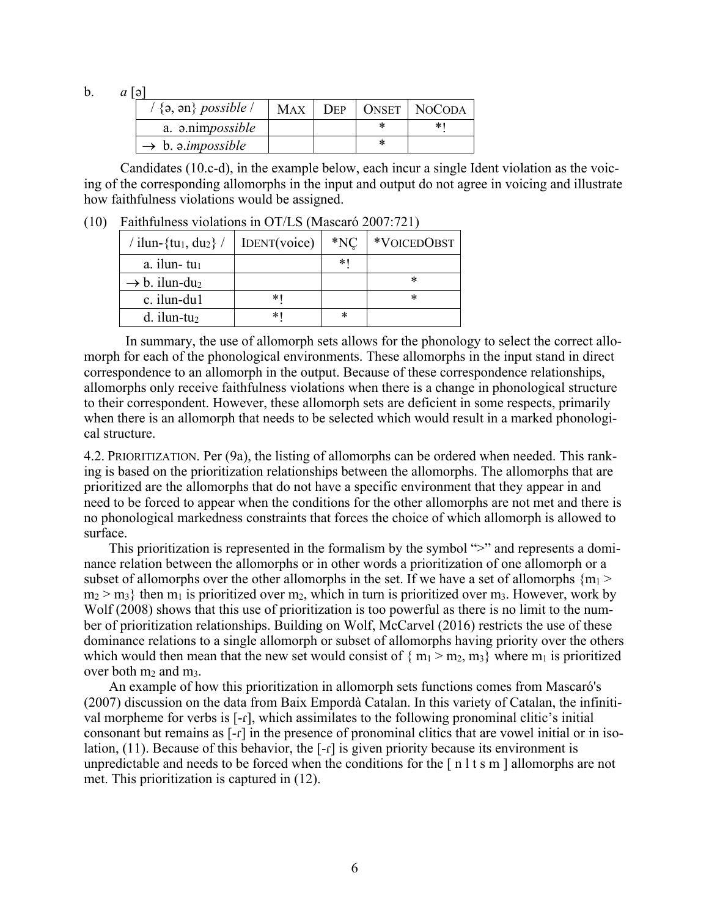b.  $a [\triangleright]$ 

| $/$ {a, an} possible /        | MAX | <b>DEP</b> | ONSET   NOCODA |
|-------------------------------|-----|------------|----------------|
| a. a.nimpossible              |     |            |                |
| $\rightarrow b.$ a.impossible |     |            |                |

Candidates (10.c-d), in the example below, each incur a single Ident violation as the voicing of the corresponding allomorphs in the input and output do not agree in voicing and illustrate how faithfulness violations would be assigned.

(10) Faithfulness violations in OT/LS (Mascaró 2007:721)

| / ilun-{tu <sub>1</sub> , du <sub>2</sub> } / | IDENT(voice) | $*NC$ | *VOICEDOBST |
|-----------------------------------------------|--------------|-------|-------------|
| a. ilun- $tu_1$                               |              | * 1   |             |
| $\rightarrow$ b. ilun-du <sub>2</sub>         |              |       | *           |
| c. ilun-du1                                   | *1           |       | ж           |
| $d.$ ilun-tu <sub>2</sub>                     | *1           | *     |             |

In summary, the use of allomorph sets allows for the phonology to select the correct allomorph for each of the phonological environments. These allomorphs in the input stand in direct correspondence to an allomorph in the output. Because of these correspondence relationships, allomorphs only receive faithfulness violations when there is a change in phonological structure to their correspondent. However, these allomorph sets are deficient in some respects, primarily when there is an allomorph that needs to be selected which would result in a marked phonological structure.

4.2. PRIORITIZATION. Per (9a), the listing of allomorphs can be ordered when needed. This ranking is based on the prioritization relationships between the allomorphs. The allomorphs that are prioritized are the allomorphs that do not have a specific environment that they appear in and need to be forced to appear when the conditions for the other allomorphs are not met and there is no phonological markedness constraints that forces the choice of which allomorph is allowed to surface.

This prioritization is represented in the formalism by the symbol ">" and represents a dominance relation between the allomorphs or in other words a prioritization of one allomorph or a subset of allomorphs over the other allomorphs in the set. If we have a set of allomorphs  ${m_1 >$  $m_2 > m_3$ } then  $m_1$  is prioritized over  $m_2$ , which in turn is prioritized over  $m_3$ . However, work by Wolf (2008) shows that this use of prioritization is too powerful as there is no limit to the number of prioritization relationships. Building on Wolf, McCarvel (2016) restricts the use of these dominance relations to a single allomorph or subset of allomorphs having priority over the others which would then mean that the new set would consist of  $\{m_1 > m_2, m_3\}$  where  $m_1$  is prioritized over both  $m_2$  and  $m_3$ .

An example of how this prioritization in allomorph sets functions comes from Mascaró's (2007) discussion on the data from Baix Empordà Catalan. In this variety of Catalan, the infinitival morpheme for verbs is [-ɾ], which assimilates to the following pronominal clitic's initial consonant but remains as [-ɾ] in the presence of pronominal clitics that are vowel initial or in isolation,  $(11)$ . Because of this behavior, the  $[-r]$  is given priority because its environment is unpredictable and needs to be forced when the conditions for the  $\lceil n \rceil t$  s m  $\lceil n \rceil$  allomorphs are not met. This prioritization is captured in (12).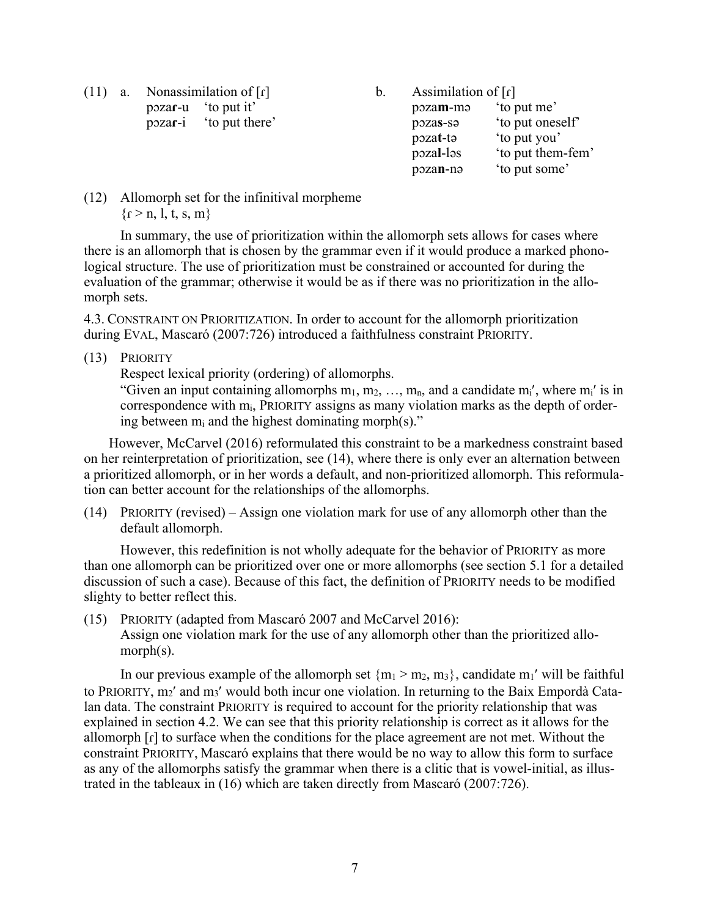(11) a. Nonassimilation of  $\lceil \mathbf{r} \rceil$ pɔza**ɾ**-u 'to put it' pɔza**ɾ**-i 'to put there'

b. Assimilation of  $\lceil \mathbf{r} \rceil$ pɔza**m**-mə 'to put me' pɔza**s**-sə 'to put oneself' pɔza**t**-tə 'to put you' pɔza**l**-ləs 'to put them-fem' pɔza**n**-nə 'to put some'

(12) Allomorph set for the infinitival morpheme  ${r > n, l, t, s, m}$ 

In summary, the use of prioritization within the allomorph sets allows for cases where there is an allomorph that is chosen by the grammar even if it would produce a marked phonological structure. The use of prioritization must be constrained or accounted for during the evaluation of the grammar; otherwise it would be as if there was no prioritization in the allomorph sets.

4.3. CONSTRAINT ON PRIORITIZATION. In order to account for the allomorph prioritization during EVAL, Mascaró (2007:726) introduced a faithfulness constraint PRIORITY.

(13) PRIORITY

Respect lexical priority (ordering) of allomorphs.

"Given an input containing allomorphs  $m_1, m_2, ..., m_n$ , and a candidate  $m_i'$ , where  $m_i'$  is in correspondence with mi, PRIORITY assigns as many violation marks as the depth of ordering between  $m_i$  and the highest dominating morph(s)."

However, McCarvel (2016) reformulated this constraint to be a markedness constraint based on her reinterpretation of prioritization, see (14), where there is only ever an alternation between a prioritized allomorph, or in her words a default, and non-prioritized allomorph. This reformulation can better account for the relationships of the allomorphs.

(14) PRIORITY (revised) – Assign one violation mark for use of any allomorph other than the default allomorph.

However, this redefinition is not wholly adequate for the behavior of PRIORITY as more than one allomorph can be prioritized over one or more allomorphs (see section 5.1 for a detailed discussion of such a case). Because of this fact, the definition of PRIORITY needs to be modified slighty to better reflect this.

(15) PRIORITY (adapted from Mascaró 2007 and McCarvel 2016): Assign one violation mark for the use of any allomorph other than the prioritized allomorph(s).

In our previous example of the allomorph set  ${m_1 > m_2, m_3}$ , candidate m<sub>1</sub>' will be faithful to PRIORITY, m<sub>2</sub>' and m<sub>3</sub>' would both incur one violation. In returning to the Baix Empordà Catalan data. The constraint PRIORITY is required to account for the priority relationship that was explained in section 4.2. We can see that this priority relationship is correct as it allows for the allomorph [ɾ] to surface when the conditions for the place agreement are not met. Without the constraint PRIORITY, Mascaró explains that there would be no way to allow this form to surface as any of the allomorphs satisfy the grammar when there is a clitic that is vowel-initial, as illustrated in the tableaux in (16) which are taken directly from Mascaró (2007:726).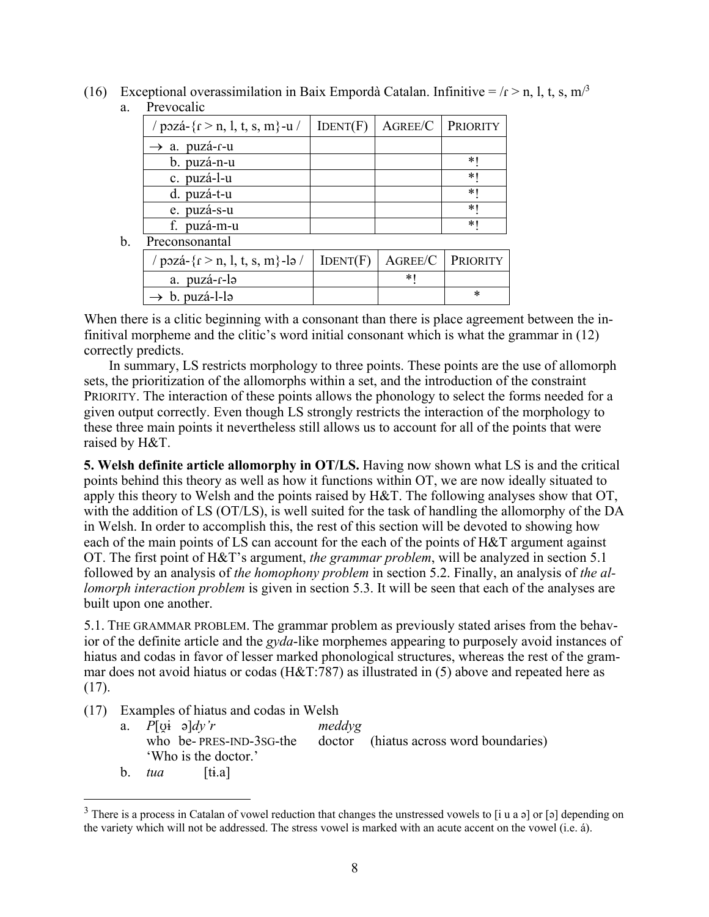(16) Exceptional overassimilation in Baix Empordà Catalan. Infinitive =  $\Gamma$  > n, l, t, s, m<sup>/3</sup> a. Prevocalic

| / pozá- $\{f > n, l, t, s, m\}$ -u/ | IDENT(F) | <b>AGREE/C   PRIORITY</b> |   |
|-------------------------------------|----------|---------------------------|---|
| $\rightarrow$ a. puzá-r-u           |          |                           |   |
| b. puzá-n-u                         |          |                           | ∗ |
| c. puzá-l-u                         |          |                           | * |
| d. puzá-t-u                         |          |                           | * |
| e. puzá-s-u                         |          |                           | * |
| f. puzá-m-u                         |          |                           | * |
| Preconsonantal                      |          |                           |   |

b. Preconsonantal

| / pozá- $\{f > n, l, t, s, m\}$ -lə /   IDENT(F)   AGREE/C   PRIORITY |  |  |
|-----------------------------------------------------------------------|--|--|
| a. puzá-r-lə                                                          |  |  |
| $\rightarrow b$ . puzá-l-lə                                           |  |  |

When there is a clitic beginning with a consonant than there is place agreement between the infinitival morpheme and the clitic's word initial consonant which is what the grammar in (12) correctly predicts.

In summary, LS restricts morphology to three points. These points are the use of allomorph sets, the prioritization of the allomorphs within a set, and the introduction of the constraint PRIORITY. The interaction of these points allows the phonology to select the forms needed for a given output correctly. Even though LS strongly restricts the interaction of the morphology to these three main points it nevertheless still allows us to account for all of the points that were raised by H&T.

**5. Welsh definite article allomorphy in OT/LS.** Having now shown what LS is and the critical points behind this theory as well as how it functions within OT, we are now ideally situated to apply this theory to Welsh and the points raised by H&T. The following analyses show that OT, with the addition of LS (OT/LS), is well suited for the task of handling the allomorphy of the DA in Welsh. In order to accomplish this, the rest of this section will be devoted to showing how each of the main points of LS can account for the each of the points of H&T argument against OT. The first point of H&T's argument, *the grammar problem*, will be analyzed in section 5.1 followed by an analysis of *the homophony problem* in section 5.2. Finally, an analysis of *the allomorph interaction problem* is given in section 5.3. It will be seen that each of the analyses are built upon one another.

5.1. THE GRAMMAR PROBLEM. The grammar problem as previously stated arises from the behavior of the definite article and the *gyda*-like morphemes appearing to purposely avoid instances of hiatus and codas in favor of lesser marked phonological structures, whereas the rest of the grammar does not avoid hiatus or codas (H&T:787) as illustrated in (5) above and repeated here as (17).

- (17) Examples of hiatus and codas in Welsh
	- a. *P*[ʊ̯ɨ ə]*dy'r meddyg* who be- PRES-IND-3sG-the doctor (hiatus across word boundaries) 'Who is the doctor.'
	- b.  $tua$  [ti.a]

<sup>&</sup>lt;sup>3</sup> There is a process in Catalan of vowel reduction that changes the unstressed vowels to [i u a ə] or [ə] depending on the variety which will not be addressed. The stress vowel is marked with an acute accent on the vowel (i.e. á).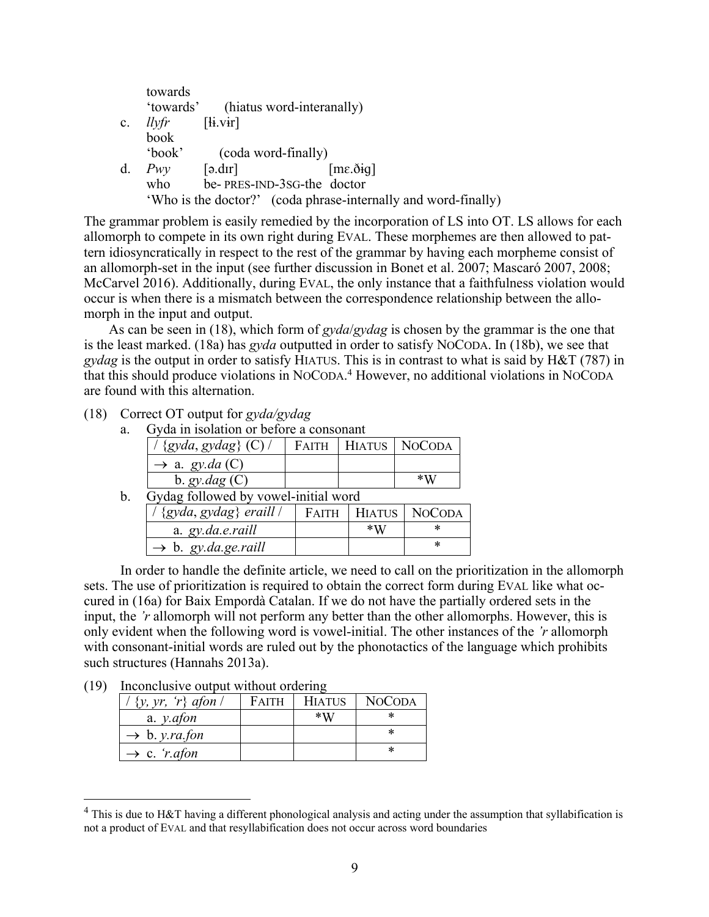|                | towards   |                                               |                                                                |
|----------------|-----------|-----------------------------------------------|----------------------------------------------------------------|
|                | 'towards' |                                               | (hiatus word-interanally)                                      |
| $\mathbf{c}$ . | llvfr     | $[\mathbf{ii}.\mathbf{vir}]$                  |                                                                |
|                | book      |                                               |                                                                |
|                | 'book'    |                                               | (coda word-finally)                                            |
| d.             | Pwv       | $\lceil \partial \cdot \mathrm{d} \Pi \rceil$ | $[m\epsilon.\delta_{\dot{H}}]$                                 |
|                | who       |                                               | be-PRES-IND-3SG-the doctor                                     |
|                |           |                                               | 'Who is the doctor?' (coda phrase-internally and word-finally) |

The grammar problem is easily remedied by the incorporation of LS into OT. LS allows for each allomorph to compete in its own right during EVAL. These morphemes are then allowed to pattern idiosyncratically in respect to the rest of the grammar by having each morpheme consist of an allomorph-set in the input (see further discussion in Bonet et al. 2007; Mascaró 2007, 2008; McCarvel 2016). Additionally, during EVAL, the only instance that a faithfulness violation would occur is when there is a mismatch between the correspondence relationship between the allomorph in the input and output.

As can be seen in (18), which form of *gyda*/*gydag* is chosen by the grammar is the one that is the least marked. (18a) has *gyda* outputted in order to satisfy NOCODA. In (18b), we see that *gydag* is the output in order to satisfy HIATUS. This is in contrast to what is said by H&T (787) in that this should produce violations in NOCODA. <sup>4</sup> However, no additional violations in NOCODA are found with this alternation.

(18) Correct OT output for *gyda/gydag*

a. Gyda in isolation or before a consonant

| $\cdots$ | <u>ww ill lootweloff of oveolve w vollochwife</u> |       |                |                         |  |
|----------|---------------------------------------------------|-------|----------------|-------------------------|--|
|          | $\frac{1}{2}$ {gyda, gydag} (C) $\frac{1}{2}$     |       |                | FAITH   HIATUS   NOCODA |  |
|          | $\rightarrow$ a. gy.da (C)                        |       |                |                         |  |
|          | b. $gy.dag(C)$                                    |       |                | $*W$                    |  |
| b.       | Gydag followed by vowel-initial word              |       |                |                         |  |
|          | $\frac{1}{2}$ {gyda, gydag} eraill $\frac{1}{2}$  | FAITH | <b>HIATUS</b>  | NOCODA                  |  |
|          | a. gy.da.e.raill                                  |       | $*_{\rm I\!I}$ |                         |  |

 $\rightarrow$  b. *gy.da.ge.raill*  $|$   $*$ 

In order to handle the definite article, we need to call on the prioritization in the allomorph sets. The use of prioritization is required to obtain the correct form during EVAL like what occured in (16a) for Baix Empordà Catalan. If we do not have the partially ordered sets in the input, the *'r* allomorph will not perform any better than the other allomorphs. However, this is only evident when the following word is vowel-initial. The other instances of the *'r* allomorph with consonant-initial words are ruled out by the phonotactics of the language which prohibits such structures (Hannahs 2013a).

(19) Inconclusive output without ordering

| $\langle y, yr, 'r \rangle$ afon $\langle$ | <b>FAITH</b> | <b>HIATUS</b> | <b>NOCODA</b> |
|--------------------------------------------|--------------|---------------|---------------|
| a. $y$ . <i>afon</i>                       |              | $*$ W         |               |
| $\rightarrow b. y. ra.$ fon                |              |               | *             |
| $\rightarrow$ c. ' <i>r.afon</i>           |              |               | *             |

<sup>&</sup>lt;sup>4</sup> This is due to H&T having a different phonological analysis and acting under the assumption that syllabification is not a product of EVAL and that resyllabification does not occur across word boundaries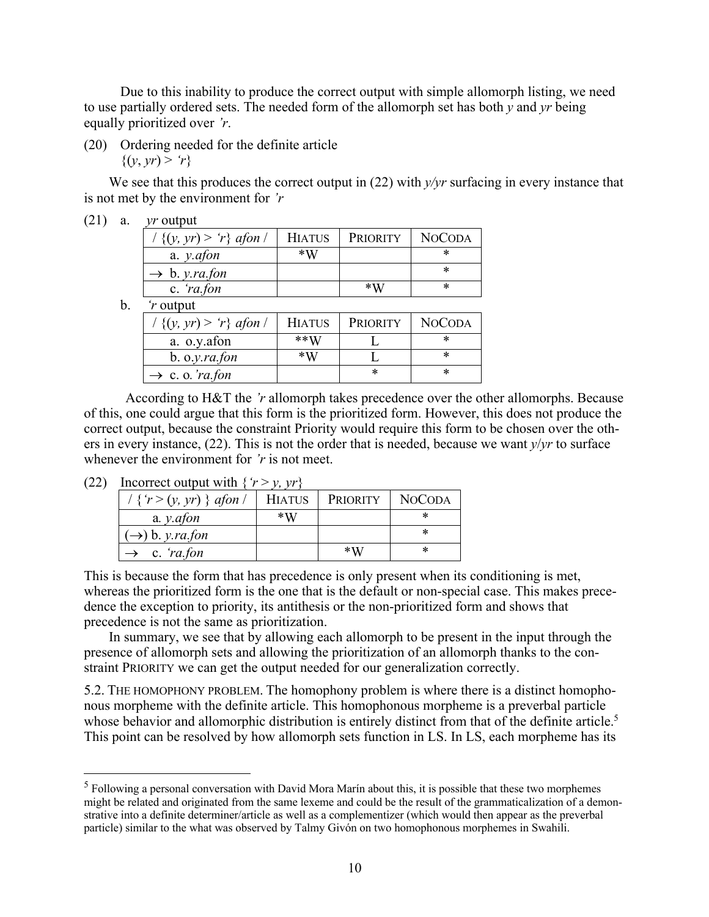Due to this inability to produce the correct output with simple allomorph listing, we need to use partially ordered sets. The needed form of the allomorph set has both *y* and *yr* being equally prioritized over *'r*.

(20) Ordering needed for the definite article  $\{(y, yr) > r\}$ 

We see that this produces the correct output in (22) with  $v/vr$  surfacing in every instance that is not met by the environment for *'r*

| (21) |  | $\gamma r$ output |
|------|--|-------------------|
|------|--|-------------------|

| $/ \{ (y, yr) > 'r \}$ afon / | <b>HIATUS</b> | PRIORITY    | <b>NOCODA</b> |
|-------------------------------|---------------|-------------|---------------|
| a. $y$ . <i>afon</i>          | $*W$          |             |               |
| $\rightarrow b. y. ra.$ fon   |               |             |               |
| c. $ra$ fon                   |               | $*_{\rm W}$ | *             |
| .                             |               |             |               |

b. *'r* output

| $\{ (y, yr) > r \}$ afon /  | <b>HIATUS</b> | <b>PRIORITY</b> | <b>NOCODA</b> |
|-----------------------------|---------------|-----------------|---------------|
| a. o.y.afon                 | $**W$         |                 |               |
| b. o.y.ra.fon               | $*W$          |                 |               |
| $\rightarrow$ c. o. 'ra.fon |               |                 |               |

According to H&T the *'r* allomorph takes precedence over the other allomorphs. Because of this, one could argue that this form is the prioritized form. However, this does not produce the correct output, because the constraint Priority would require this form to be chosen over the others in every instance, (22). This is not the order that is needed, because we want *y*/*yr* to surface whenever the environment for *'r* is not meet.

(22) Incorrect output with  $\{r > y, yr\}$ 

| $/ \{ r > (y, yr) \}$ afon / | HIATUS | PRIORITY | <b>NOCODA</b> |
|------------------------------|--------|----------|---------------|
| a. $y$ . <i>afon</i>         | $*W$   |          |               |
| $(\rightarrow)$ b. y.ra.fon  |        |          |               |
| $\rightarrow$ c. 'ra, fon    |        | $*W$     | *             |

This is because the form that has precedence is only present when its conditioning is met, whereas the prioritized form is the one that is the default or non-special case. This makes precedence the exception to priority, its antithesis or the non-prioritized form and shows that precedence is not the same as prioritization.

In summary, we see that by allowing each allomorph to be present in the input through the presence of allomorph sets and allowing the prioritization of an allomorph thanks to the constraint PRIORITY we can get the output needed for our generalization correctly.

5.2. THE HOMOPHONY PROBLEM. The homophony problem is where there is a distinct homophonous morpheme with the definite article. This homophonous morpheme is a preverbal particle whose behavior and allomorphic distribution is entirely distinct from that of the definite article.<sup>5</sup> This point can be resolved by how allomorph sets function in LS. In LS, each morpheme has its

<sup>5</sup> Following a personal conversation with David Mora Marín about this, it is possible that these two morphemes might be related and originated from the same lexeme and could be the result of the grammaticalization of a demonstrative into a definite determiner/article as well as a complementizer (which would then appear as the preverbal particle) similar to the what was observed by Talmy Givón on two homophonous morphemes in Swahili.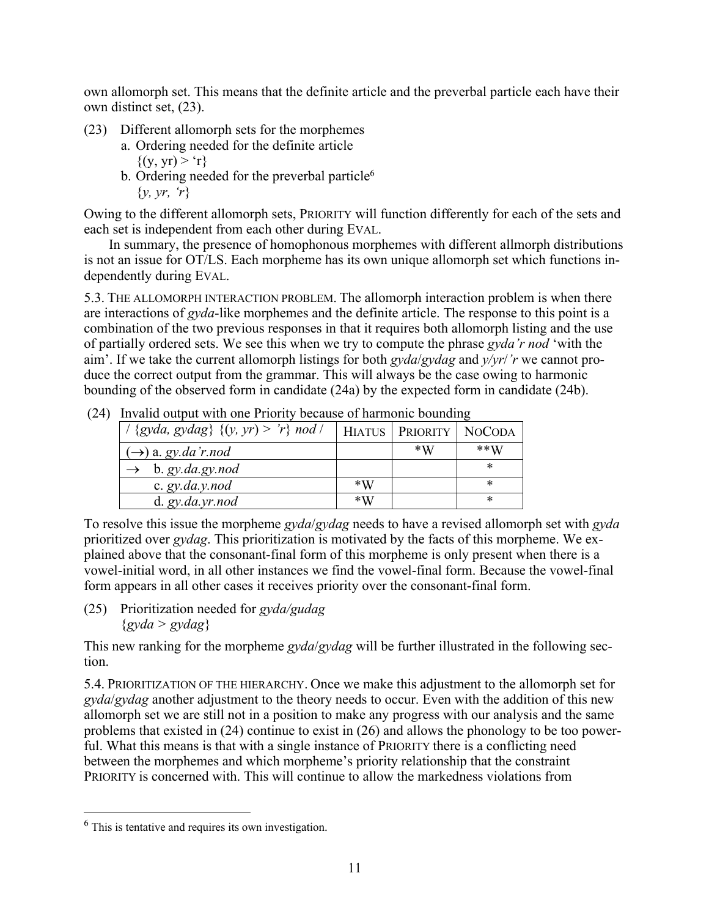own allomorph set. This means that the definite article and the preverbal particle each have their own distinct set, (23).

- (23) Different allomorph sets for the morphemes
	- a. Ordering needed for the definite article  $\{(v, vr) > r\}$
	- b. Ordering needed for the preverbal particle<sup>6</sup> {*y, yr, 'r*}

Owing to the different allomorph sets, PRIORITY will function differently for each of the sets and each set is independent from each other during EVAL.

In summary, the presence of homophonous morphemes with different allmorph distributions is not an issue for OT/LS. Each morpheme has its own unique allomorph set which functions independently during EVAL.

5.3. THE ALLOMORPH INTERACTION PROBLEM. The allomorph interaction problem is when there are interactions of *gyda*-like morphemes and the definite article. The response to this point is a combination of the two previous responses in that it requires both allomorph listing and the use of partially ordered sets. We see this when we try to compute the phrase *gyda'r nod* 'with the aim'. If we take the current allomorph listings for both *gyda*/*gydag* and *y/yr*/*'r* we cannot produce the correct output from the grammar. This will always be the case owing to harmonic bounding of the observed form in candidate (24a) by the expected form in candidate (24b).

| THE AND OWNER WITH ONE I HOTHLY OCCURSE OF HAMMONIC OUTHERING |             |                            |        |  |
|---------------------------------------------------------------|-------------|----------------------------|--------|--|
| $\frac{1}{2}$ {gyda, gydag} {(y, yr) > 'r} nod                |             | HIATUS   PRIORITY   NOCODA |        |  |
| $(\rightarrow)$ a. gy.da'r.nod                                |             | $*W$                       | $**W$  |  |
| b. gy. da.gy. nod                                             |             |                            | $\ast$ |  |
| c. $gy$ .da.y.nod                                             | $*_{\rm W}$ |                            | *      |  |
| d. gy. da. yr. nod                                            | $\ast$ W    |                            | *      |  |

(24) Invalid output with one Priority because of harmonic bounding

To resolve this issue the morpheme *gyda*/*gydag* needs to have a revised allomorph set with *gyda* prioritized over *gydag*. This prioritization is motivated by the facts of this morpheme. We explained above that the consonant-final form of this morpheme is only present when there is a vowel-initial word, in all other instances we find the vowel-final form. Because the vowel-final form appears in all other cases it receives priority over the consonant-final form.

(25) Prioritization needed for *gyda/gudag*  {*gyda > gydag*}

This new ranking for the morpheme *gyda*/*gydag* will be further illustrated in the following section.

5.4. PRIORITIZATION OF THE HIERARCHY. Once we make this adjustment to the allomorph set for *gyda*/*gydag* another adjustment to the theory needs to occur. Even with the addition of this new allomorph set we are still not in a position to make any progress with our analysis and the same problems that existed in (24) continue to exist in (26) and allows the phonology to be too powerful. What this means is that with a single instance of PRIORITY there is a conflicting need between the morphemes and which morpheme's priority relationship that the constraint PRIORITY is concerned with. This will continue to allow the markedness violations from

 $<sup>6</sup>$  This is tentative and requires its own investigation.</sup>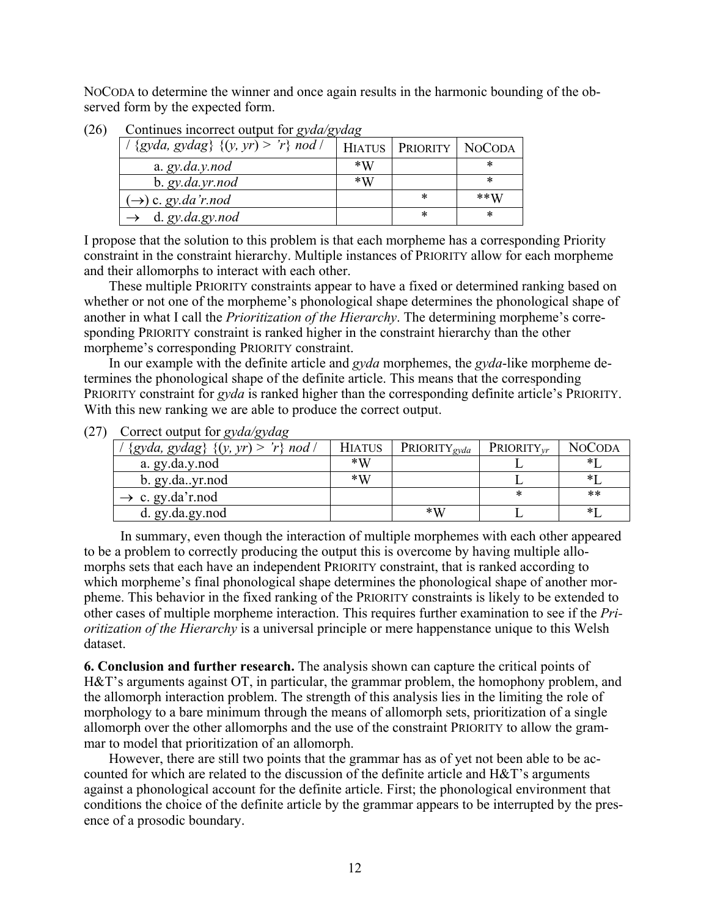NOCODA to determine the winner and once again results in the harmonic bounding of the observed form by the expected form.

| {gyda, gydag} $\{(y, yr) > 'r\}$ nod / |      | HIATUS   PRIORITY   NOCODA |       |  |
|----------------------------------------|------|----------------------------|-------|--|
| a. $gy$ . da. $y$ . nod                | $*W$ |                            | *     |  |
| b. gy. da. yr. nod                     | $*W$ |                            | *     |  |
| $(\rightarrow)$ c. gy.da'r.nod         |      | *                          | $**W$ |  |
| d. gy. da.gy. nod                      |      | *                          | *     |  |

(26) Continues incorrect output for *gyda/gydag*

I propose that the solution to this problem is that each morpheme has a corresponding Priority constraint in the constraint hierarchy. Multiple instances of PRIORITY allow for each morpheme and their allomorphs to interact with each other.

These multiple PRIORITY constraints appear to have a fixed or determined ranking based on whether or not one of the morpheme's phonological shape determines the phonological shape of another in what I call the *Prioritization of the Hierarchy*. The determining morpheme's corresponding PRIORITY constraint is ranked higher in the constraint hierarchy than the other morpheme's corresponding PRIORITY constraint.

In our example with the definite article and *gyda* morphemes, the *gyda*-like morpheme determines the phonological shape of the definite article. This means that the corresponding PRIORITY constraint for *gyda* is ranked higher than the corresponding definite article's PRIORITY. With this new ranking we are able to produce the correct output.

(27) Correct output for *gyda/gydag*

| $'r$ nod /<br>$\{gyda, gydag\}$ $\{(y, yr) > \pi\}$ | <b>HIATUS</b> | $PRIORITY_{gyda}$ | $PRIORITY_{vr}$ | <b>NOCODA</b> |
|-----------------------------------------------------|---------------|-------------------|-----------------|---------------|
| a. gy.da.y.nod                                      | $*W$          |                   |                 |               |
| b. gy.dayr.nod                                      | $\ast$ W      |                   |                 |               |
| $\rightarrow$ c. gy.da'r.nod                        |               |                   |                 | $***$         |
| d. gy.da.gy.nod                                     |               | $*_{W}$           |                 |               |

In summary, even though the interaction of multiple morphemes with each other appeared to be a problem to correctly producing the output this is overcome by having multiple allomorphs sets that each have an independent PRIORITY constraint, that is ranked according to which morpheme's final phonological shape determines the phonological shape of another morpheme. This behavior in the fixed ranking of the PRIORITY constraints is likely to be extended to other cases of multiple morpheme interaction. This requires further examination to see if the *Prioritization of the Hierarchy* is a universal principle or mere happenstance unique to this Welsh dataset.

**6. Conclusion and further research.** The analysis shown can capture the critical points of H&T's arguments against OT, in particular, the grammar problem, the homophony problem, and the allomorph interaction problem. The strength of this analysis lies in the limiting the role of morphology to a bare minimum through the means of allomorph sets, prioritization of a single allomorph over the other allomorphs and the use of the constraint PRIORITY to allow the grammar to model that prioritization of an allomorph.

However, there are still two points that the grammar has as of yet not been able to be accounted for which are related to the discussion of the definite article and H&T's arguments against a phonological account for the definite article. First; the phonological environment that conditions the choice of the definite article by the grammar appears to be interrupted by the presence of a prosodic boundary.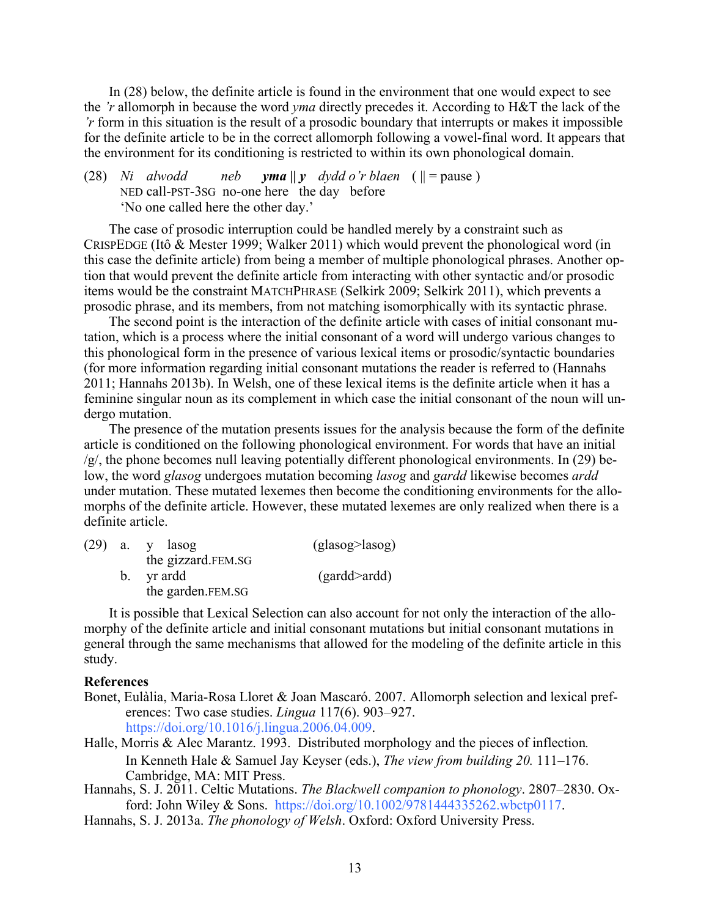In (28) below, the definite article is found in the environment that one would expect to see the *'r* allomorph in because the word *yma* directly precedes it. According to H&T the lack of the *'r* form in this situation is the result of a prosodic boundary that interrupts or makes it impossible for the definite article to be in the correct allomorph following a vowel-final word. It appears that the environment for its conditioning is restricted to within its own phonological domain.

(28) *Ni* alwodd neb *yma*  $||y|$  dydd o'r blaen ( $|| =$  pause) NED call-PST-3SG no-one here the day before 'No one called here the other day.'

The case of prosodic interruption could be handled merely by a constraint such as CRISPEDGE (Itô & Mester 1999; Walker 2011) which would prevent the phonological word (in this case the definite article) from being a member of multiple phonological phrases. Another option that would prevent the definite article from interacting with other syntactic and/or prosodic items would be the constraint MATCHPHRASE (Selkirk 2009; Selkirk 2011), which prevents a prosodic phrase, and its members, from not matching isomorphically with its syntactic phrase.

The second point is the interaction of the definite article with cases of initial consonant mutation, which is a process where the initial consonant of a word will undergo various changes to this phonological form in the presence of various lexical items or prosodic/syntactic boundaries (for more information regarding initial consonant mutations the reader is referred to (Hannahs 2011; Hannahs 2013b). In Welsh, one of these lexical items is the definite article when it has a feminine singular noun as its complement in which case the initial consonant of the noun will undergo mutation.

The presence of the mutation presents issues for the analysis because the form of the definite article is conditioned on the following phonological environment. For words that have an initial  $/g/$ , the phone becomes null leaving potentially different phonological environments. In (29) below, the word *glasog* undergoes mutation becoming *lasog* and *gardd* likewise becomes *ardd* under mutation. These mutated lexemes then become the conditioning environments for the allomorphs of the definite article. However, these mutated lexemes are only realized when there is a definite article.

|  | $(29)$ a. y lasog  | (glasog>lasog) |
|--|--------------------|----------------|
|  | the gizzard.FEM.SG |                |
|  | b. yr ardd         | (gardd>ardd)   |
|  | the garden.FEM.SG  |                |

It is possible that Lexical Selection can also account for not only the interaction of the allomorphy of the definite article and initial consonant mutations but initial consonant mutations in general through the same mechanisms that allowed for the modeling of the definite article in this study.

## **References**

- Bonet, Eulàlia, Maria-Rosa Lloret & Joan Mascaró. 2007. Allomorph selection and lexical preferences: Two case studies. *Lingua* 117(6). 903–927. https://doi.org/10.1016/j.lingua.2006.04.009.
- Halle, Morris & Alec Marantz. 1993. Distributed morphology and the pieces of inflection*.* In Kenneth Hale & Samuel Jay Keyser (eds.), *The view from building 20.* 111–176. Cambridge, MA: MIT Press.
- Hannahs, S. J. 2011. Celtic Mutations. *The Blackwell companion to phonology*. 2807–2830. Oxford: John Wiley & Sons. https://doi.org/10.1002/9781444335262.wbctp0117.
- Hannahs, S. J. 2013a. *The phonology of Welsh*. Oxford: Oxford University Press.